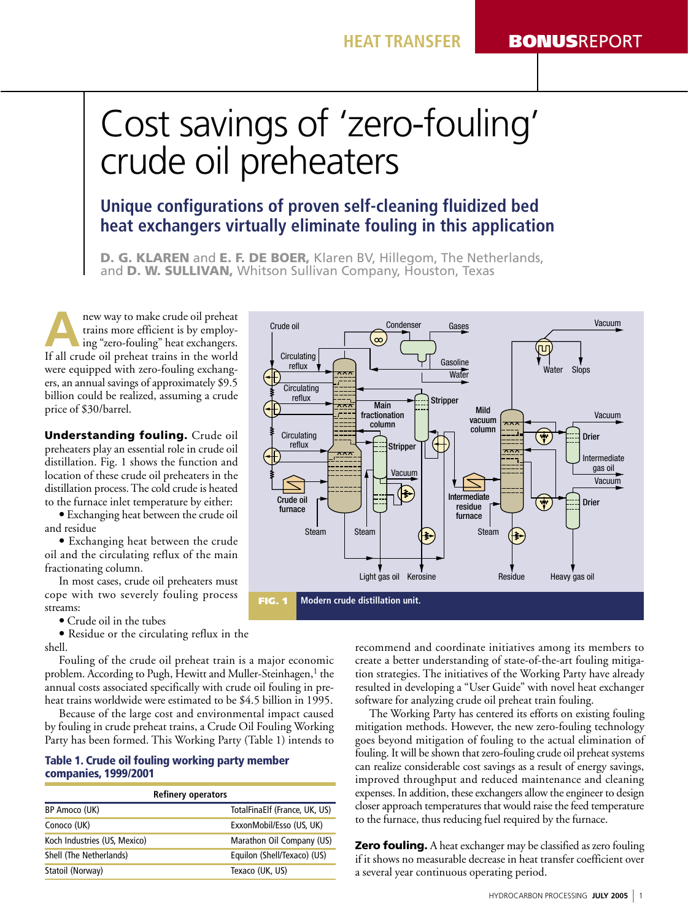# Cost savings of 'zero-fouling' crude oil preheaters

## Unique configurations of proven self-cleaning fluidized bed heat exchangers virtually eliminate fouling in this application

**D. G. KLAREN** and **E. F. DE BOER,** Klaren BV, Hillegom, The Netherlands, and D. W. SULLIVAN, Whitson Sullivan Company, Houston, Texas

new way to make crude oil preheat trains more efficient is by employing "zero-fouling" heat exchangers. If all crude oil preheat trains in the world were equipped with zero-fouling exchangers, an annual savings of approximately \$9.5 billion could be realized, assuming a crude price of \$30/barrel.

**Understanding fouling.** Crude oil preheaters play an essential role in crude oil distillation. Fig. 1 shows the function and location of these crude oil preheaters in the distillation process. The cold crude is heated to the furnace inlet temperature by either:

• Exchanging heat between the crude oil and residue

· Exchanging heat between the crude oil and the circulating reflux of the main fractionating column.

In most cases, crude oil preheaters must cope with two severely fouling process streams:

• Crude oil in the tubes

• Residue or the circulating reflux in the shell.

Fouling of the crude oil preheat train is a major economic problem. According to Pugh, Hewitt and Muller-Steinhagen,<sup>1</sup> the annual costs associated specifically with crude oil fouling in preheat trains worldwide were estimated to be \$4.5 billion in 1995.

Because of the large cost and environmental impact caused by fouling in crude preheat trains, a Crude Oil Fouling Working Party has been formed. This Working Party (Table 1) intends to

### Table 1. Crude oil fouling working party member **companies, 1999/2001**

| <b>Refinery operators</b>    |                               |  |  |  |
|------------------------------|-------------------------------|--|--|--|
| BP Amoco (UK)                | TotalFinaElf (France, UK, US) |  |  |  |
| Conoco (UK)                  | ExxonMobil/Esso (US, UK)      |  |  |  |
| Koch Industries (US, Mexico) | Marathon Oil Company (US)     |  |  |  |
| Shell (The Netherlands)      | Equilon (Shell/Texaco) (US)   |  |  |  |
| Statoil (Norway)             | Texaco (UK, US)               |  |  |  |



recommend and coordinate initiatives among its members to create a better understanding of state-of-the-art fouling mitigation strategies. The initiatives of the Working Party have already resulted in developing a "User Guide" with novel heat exchanger software for analyzing crude oil preheat train fouling.

The Working Party has centered its efforts on existing fouling mitigation methods. However, the new zero-fouling technology goes beyond mitigation of fouling to the actual elimination of fouling. It will be shown that zero-fouling crude oil preheat systems can realize considerable cost savings as a result of energy savings, improved throughput and reduced maintenance and cleaning expenses. In addition, these exchangers allow the engineer to design closer approach temperatures that would raise the feed temperature to the furnace, thus reducing fuel required by the furnace.

**Zero fouling.** A heat exchanger may be classified as zero fouling if it shows no measurable decrease in heat transfer coefficient over a several year continuous operating period.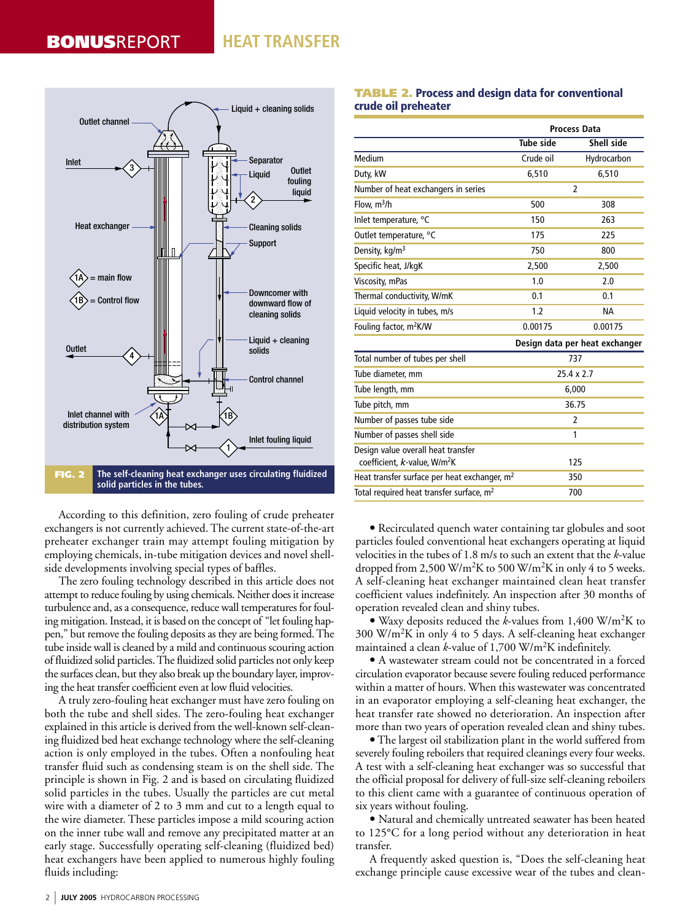## **HEAT TRANSFER**



According to this definition, zero fouling of crude preheater exchangers is not currently achieved. The current state-of-the-art preheater exchanger train may attempt fouling mitigation by employing chemicals, in-tube mitigation devices and novel shellside developments involving special types of baffles.

The zero fouling technology described in this article does not attempt to reduce fouling by using chemicals. Neither does it increase turbulence and, as a consequence, reduce wall temperatures for fouling mitigation. Instead, it is based on the concept of "let fouling happen," but remove the fouling deposits as they are being formed. The tube inside wall is cleaned by a mild and continuous scouring action of fluidized solid particles. The fluidized solid particles not only keep the surfaces clean, but they also break up the boundary layer, improving the heat transfer coefficient even at low fluid velocities.

A truly zero-fouling heat exchanger must have zero fouling on both the tube and shell sides. The zero-fouling heat exchanger explained in this article is derived from the well-known self-cleaning fluidized bed heat exchange technology where the self-cleaning action is only employed in the tubes. Often a nonfouling heat transfer fluid such as condensing steam is on the shell side. The principle is shown in Fig. 2 and is based on circulating fluidized solid particles in the tubes. Usually the particles are cut metal wire with a diameter of 2 to 3 mm and cut to a length equal to the wire diameter. These particles impose a mild scouring action on the inner tube wall and remove any precipitated matter at an early stage. Successfully operating self-cleaning (fluidized bed) heat exchangers have been applied to numerous highly fouling fluids including:

### **TABLE 2. Process and design data for conventional** crude oil preheater

|                                                                                | <b>Process Data</b> |                                |  |
|--------------------------------------------------------------------------------|---------------------|--------------------------------|--|
|                                                                                | <b>Tube side</b>    | Shell side                     |  |
| Medium                                                                         | Crude oil           | Hydrocarbon                    |  |
| Duty, kW                                                                       | 6,510               | 6,510                          |  |
| Number of heat exchangers in series                                            | $\overline{2}$      |                                |  |
| Flow, $m^3/h$                                                                  | 500                 | 308                            |  |
| Inlet temperature, °C                                                          | 150                 | 263                            |  |
| Outlet temperature, °C                                                         | 175                 | 225                            |  |
| Density, kg/m <sup>3</sup>                                                     | 750                 | 800                            |  |
| Specific heat, J/kgK                                                           | 2,500               | 2,500                          |  |
| Viscosity, mPas                                                                | 1.0                 | 2.0                            |  |
| Thermal conductivity, W/mK                                                     | 0.1                 | 0.1                            |  |
| Liquid velocity in tubes, m/s                                                  | 1.2                 | <b>NA</b>                      |  |
| Fouling factor, m <sup>2</sup> K/W                                             | 0.00175             | 0.00175                        |  |
|                                                                                |                     | Design data per heat exchanger |  |
| Total number of tubes per shell                                                | 737                 |                                |  |
| Tube diameter, mm                                                              | $25.4 \times 2.7$   |                                |  |
| Tube length, mm                                                                | 6,000               |                                |  |
| Tube pitch, mm                                                                 | 36.75               |                                |  |
| Number of passes tube side                                                     | $\overline{2}$      |                                |  |
| Number of passes shell side                                                    | 1                   |                                |  |
| Design value overall heat transfer<br>coefficient, k-value, W/m <sup>2</sup> K |                     | 125                            |  |
| Heat transfer surface per heat exchanger, m <sup>2</sup>                       |                     | 350                            |  |
| Total required heat transfer surface, m <sup>2</sup>                           | 700                 |                                |  |

• Recirculated quench water containing tar globules and soot particles fouled conventional heat exchangers operating at liquid velocities in the tubes of 1.8 m/s to such an extent that the k-value dropped from 2,500 W/m<sup>2</sup>K to 500 W/m<sup>2</sup>K in only 4 to 5 weeks. A self-cleaning heat exchanger maintained clean heat transfer coefficient values indefinitely. An inspection after 30 months of operation revealed clean and shiny tubes.

• Waxy deposits reduced the k-values from 1,400 W/m<sup>2</sup>K to 300 W/m<sup>2</sup>K in only 4 to 5 days. A self-cleaning heat exchanger maintained a clean k-value of  $1,700 \text{ W/m}^2\text{K}$  indefinitely.

• A wastewater stream could not be concentrated in a forced circulation evaporator because severe fouling reduced performance within a matter of hours. When this wastewater was concentrated in an evaporator employing a self-cleaning heat exchanger, the heat transfer rate showed no deterioration. An inspection after more than two years of operation revealed clean and shiny tubes.

• The largest oil stabilization plant in the world suffered from severely fouling reboilers that required cleanings every four weeks. A test with a self-cleaning heat exchanger was so successful that the official proposal for delivery of full-size self-cleaning reboilers to this client came with a guarantee of continuous operation of six years without fouling.

· Natural and chemically untreated seawater has been heated to 125°C for a long period without any deterioration in heat transfer.

A frequently asked question is, "Does the self-cleaning heat exchange principle cause excessive wear of the tubes and clean-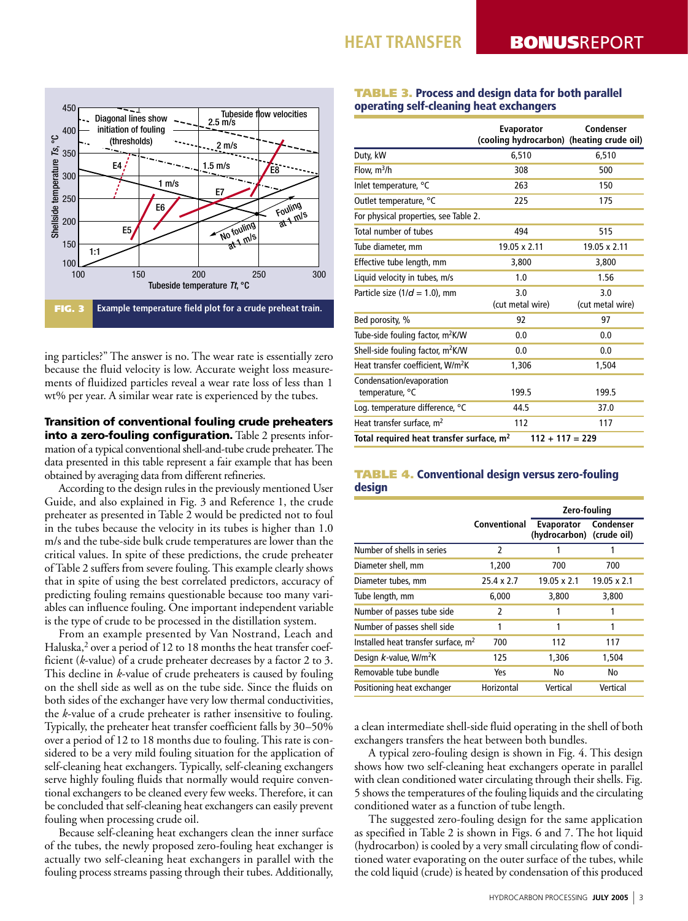

ing particles?" The answer is no. The wear rate is essentially zero because the fluid velocity is low. Accurate weight loss measurements of fluidized particles reveal a wear rate loss of less than 1 wt% per year. A similar wear rate is experienced by the tubes.

## **Transition of conventional fouling crude preheaters** into a zero-fouling configuration. Table 2 presents information of a typical conventional shell-and-tube crude preheater. The data presented in this table represent a fair example that has been obtained by averaging data from different refineries.

According to the design rules in the previously mentioned User Guide, and also explained in Fig. 3 and Reference 1, the crude preheater as presented in Table 2 would be predicted not to foul in the tubes because the velocity in its tubes is higher than 1.0 m/s and the tube-side bulk crude temperatures are lower than the critical values. In spite of these predictions, the crude preheater of Table 2 suffers from severe fouling. This example clearly shows that in spite of using the best correlated predictors, accuracy of predicting fouling remains questionable because too many variables can influence fouling. One important independent variable is the type of crude to be processed in the distillation system.

From an example presented by Van Nostrand, Leach and Haluska,<sup>2</sup> over a period of 12 to 18 months the heat transfer coefficient (k-value) of a crude preheater decreases by a factor 2 to 3. This decline in k-value of crude preheaters is caused by fouling on the shell side as well as on the tube side. Since the fluids on both sides of the exchanger have very low thermal conductivities, the k-value of a crude preheater is rather insensitive to fouling. Typically, the preheater heat transfer coefficient falls by 30–50% over a period of 12 to 18 months due to fouling. This rate is considered to be a very mild fouling situation for the application of self-cleaning heat exchangers. Typically, self-cleaning exchangers serve highly fouling fluids that normally would require conventional exchangers to be cleaned every few weeks. Therefore, it can be concluded that self-cleaning heat exchangers can easily prevent fouling when processing crude oil.

Because self-cleaning heat exchangers clean the inner surface of the tubes, the newly proposed zero-fouling heat exchanger is actually two self-cleaning heat exchangers in parallel with the fouling process streams passing through their tubes. Additionally,

## **TABLE 3. Process and design data for both parallel** operating self-cleaning heat exchangers

|                                                                           | Evaporator<br>(cooling hydrocarbon) (heating crude oil) | Condenser               |  |  |  |  |
|---------------------------------------------------------------------------|---------------------------------------------------------|-------------------------|--|--|--|--|
| Duty, kW                                                                  | 6,510                                                   | 6,510                   |  |  |  |  |
| Flow, $m^3/h$                                                             | 308                                                     | 500                     |  |  |  |  |
| Inlet temperature, °C                                                     | 263                                                     | 150                     |  |  |  |  |
| Outlet temperature, °C                                                    | 225                                                     | 175                     |  |  |  |  |
| For physical properties, see Table 2.                                     |                                                         |                         |  |  |  |  |
| Total number of tubes                                                     | 494                                                     | 515                     |  |  |  |  |
| Tube diameter, mm                                                         | 19.05 x 2.11                                            | 19.05 x 2.11            |  |  |  |  |
| Effective tube length, mm                                                 | 3,800                                                   | 3,800                   |  |  |  |  |
| Liquid velocity in tubes, m/s                                             | 1.0                                                     | 1.56                    |  |  |  |  |
| Particle size ( $1/d = 1.0$ ), mm                                         | 3.0<br>(cut metal wire)                                 | 3.0<br>(cut metal wire) |  |  |  |  |
| Bed porosity, %                                                           | 92                                                      | 97                      |  |  |  |  |
| Tube-side fouling factor, m <sup>2</sup> K/W                              | 0.0                                                     | 0.0                     |  |  |  |  |
| Shell-side fouling factor, m <sup>2</sup> K/W                             | 0.0                                                     | 0.0                     |  |  |  |  |
| Heat transfer coefficient, W/m <sup>2</sup> K                             | 1,306                                                   | 1,504                   |  |  |  |  |
| Condensation/evaporation<br>temperature, °C                               | 199.5                                                   | 199.5                   |  |  |  |  |
| Log. temperature difference, °C                                           | 44.5                                                    | 37.0                    |  |  |  |  |
| Heat transfer surface, m <sup>2</sup>                                     | 112                                                     | 117                     |  |  |  |  |
| Total required heat transfer surface, m <sup>2</sup><br>$112 + 117 = 229$ |                                                         |                         |  |  |  |  |

## **TABLE 4. Conventional design versus zero-fouling** design

|                                                 |                   | Zero-fouling                            |             |
|-------------------------------------------------|-------------------|-----------------------------------------|-------------|
|                                                 | Conventional      | Evaporator<br>(hydrocarbon) (crude oil) | Condenser   |
| Number of shells in series                      | 2                 |                                         |             |
| Diameter shell, mm                              | 1,200             | 700                                     | 700         |
| Diameter tubes, mm                              | $25.4 \times 2.7$ | $19.05 \times 2.1$                      | 19.05 x 2.1 |
| Tube length, mm                                 | 6,000             | 3,800                                   | 3,800       |
| Number of passes tube side                      | 2                 |                                         | 1           |
| Number of passes shell side                     | 1                 | 1                                       | 1           |
| Installed heat transfer surface, m <sup>2</sup> | 700               | 112                                     | 117         |
| Design k-value, W/m <sup>2</sup> K              | 125               | 1,306                                   | 1,504       |
| Removable tube bundle                           | Yes               | No                                      | No          |
| Positioning heat exchanger                      | Horizontal        | Vertical                                | Vertical    |

a clean intermediate shell-side fluid operating in the shell of both exchangers transfers the heat between both bundles.

A typical zero-fouling design is shown in Fig. 4. This design shows how two self-cleaning heat exchangers operate in parallel with clean conditioned water circulating through their shells. Fig. 5 shows the temperatures of the fouling liquids and the circulating conditioned water as a function of tube length.

The suggested zero-fouling design for the same application as specified in Table 2 is shown in Figs. 6 and 7. The hot liquid (hydrocarbon) is cooled by a very small circulating flow of conditioned water evaporating on the outer surface of the tubes, while the cold liquid (crude) is heated by condensation of this produced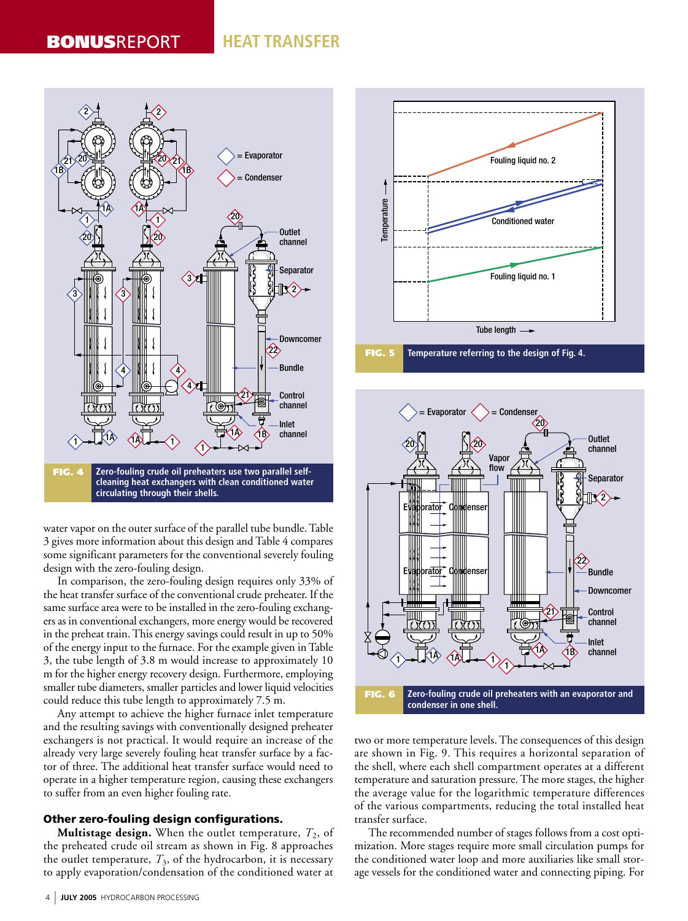## **HEAT TRANSFER**



cleaning heat exchangers with clean conditioned water circulating through their shells.

water vapor on the outer surface of the parallel tube bundle. Table 3 gives more information about this design and Table 4 compares some significant parameters for the conventional severely fouling design with the zero-fouling design.

In comparison, the zero-fouling design requires only 33% of the heat transfer surface of the conventional crude preheater. If the same surface area were to be installed in the zero-fouling exchangers as in conventional exchangers, more energy would be recovered in the preheat train. This energy savings could result in up to 50% of the energy input to the furnace. For the example given in Table 3, the tube length of 3.8 m would increase to approximately 10 m for the higher energy recovery design. Furthermore, employing smaller tube diameters, smaller particles and lower liquid velocities could reduce this tube length to approximately 7.5 m.

Any attempt to achieve the higher furnace inlet temperature and the resulting savings with conventionally designed preheater exchangers is not practical. It would require an increase of the already very large severely fouling heat transfer surface by a factor of three. The additional heat transfer surface would need to operate in a higher temperature region, causing these exchangers to suffer from an even higher fouling rate.

### Other zero-fouling design configurations.

**Multistage design.** When the outlet temperature,  $T_2$ , of the preheated crude oil stream as shown in Fig. 8 approaches the outlet temperature,  $T_3$ , of the hydrocarbon, it is necessary to apply evaporation/condensation of the conditioned water at





two or more temperature levels. The consequences of this design are shown in Fig. 9. This requires a horizontal separation of the shell, where each shell compartment operates at a different temperature and saturation pressure. The more stages, the higher the average value for the logarithmic temperature differences of the various compartments, reducing the total installed heat transfer surface.

The recommended number of stages follows from a cost optimization. More stages require more small circulation pumps for the conditioned water loop and more auxiliaries like small storage vessels for the conditioned water and connecting piping. For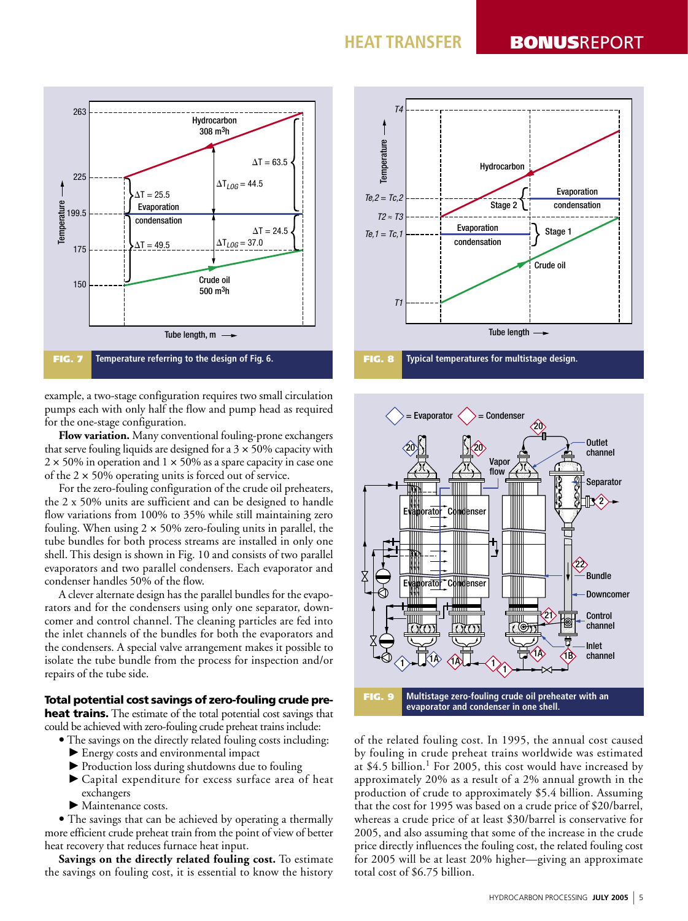

example, a two-stage configuration requires two small circulation pumps each with only half the flow and pump head as required for the one-stage configuration.

Flow variation. Many conventional fouling-prone exchangers that serve fouling liquids are designed for a  $3 \times 50\%$  capacity with  $2 \times 50\%$  in operation and  $1 \times 50\%$  as a spare capacity in case one of the  $2 \times 50\%$  operating units is forced out of service.

For the zero-fouling configuration of the crude oil preheaters, the 2 x 50% units are sufficient and can be designed to handle flow variations from 100% to 35% while still maintaining zero fouling. When using  $2 \times 50\%$  zero-fouling units in parallel, the tube bundles for both process streams are installed in only one shell. This design is shown in Fig. 10 and consists of two parallel evaporators and two parallel condensers. Each evaporator and condenser handles 50% of the flow.

A clever alternate design has the parallel bundles for the evaporators and for the condensers using only one separator, downcomer and control channel. The cleaning particles are fed into the inlet channels of the bundles for both the evaporators and the condensers. A special valve arrangement makes it possible to isolate the tube bundle from the process for inspection and/or repairs of the tube side.

### Total potential cost savings of zero-fouling crude pre**heat trains.** The estimate of the total potential cost savings that could be achieved with zero-fouling crude preheat trains include:

- The savings on the directly related fouling costs including:
	- Energy costs and environmental impact
	- ▶ Production loss during shutdowns due to fouling
	- Capital expenditure for excess surface area of heat exchangers
	- $\blacktriangleright$  Maintenance costs.

• The savings that can be achieved by operating a thermally more efficient crude preheat train from the point of view of better heat recovery that reduces furnace heat input.

Savings on the directly related fouling cost. To estimate the savings on fouling cost, it is essential to know the history





of the related fouling cost. In 1995, the annual cost caused by fouling in crude preheat trains worldwide was estimated at \$4.5 billion.<sup>1</sup> For 2005, this cost would have increased by approximately 20% as a result of a 2% annual growth in the production of crude to approximately \$5.4 billion. Assuming that the cost for 1995 was based on a crude price of \$20/barrel, whereas a crude price of at least \$30/barrel is conservative for 2005, and also assuming that some of the increase in the crude price directly influences the fouling cost, the related fouling cost for 2005 will be at least 20% higher—giving an approximate total cost of \$6.75 billion.